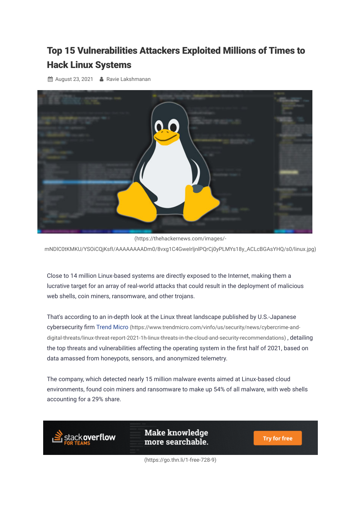## Top 15 [Vulnerabilities](https://thehackernews.com/2021/08/top-15-vulnerabilities-attackers.html) Attackers Exploited Millions of Times to Hack Linux Systems

**■ August 23, 2021 • [Ravie Lakshmanan](https://thehackernews.com/p/authors.html)** 



(https://thehackernews.com/images/ [mNDlC0tKMKU/YSOiCQjKsfI/AAAAAAAADm0/8vxg1C4GweIrljnlPQrCj0yPLMYs18y\\_ACLcBGAsYHQ/s0/linux.jpg\)](https://thehackernews.com/images/-mNDlC0tKMKU/YSOiCQjKsfI/AAAAAAAADm0/8vxg1C4GweIrljnlPQrCj0yPLMYs18y_ACLcBGAsYHQ/s0/linux.jpg)

Close to 14 million Linux-based systems are directly exposed to the Internet, making them a lucrative target for an array of real-world attacks that could result in the deployment of malicious web shells, coin miners, ransomware, and other trojans.

That's according to an in-depth look at the Linux threat landscape published by U.S.-Japanese cybersecurity firm Trend Micro (https://www.trendmicro.com/vinfo/us/security/news/cybercrime-and[digital-threats/linux-threat-report-2021-1h-linux-threats-in-the-cloud-and-security-recommendations\)](https://www.trendmicro.com/vinfo/us/security/news/cybercrime-and-digital-threats/linux-threat-report-2021-1h-linux-threats-in-the-cloud-and-security-recommendations) , detailing the top threats and vulnerabilities affecting the operating system in the first half of 2021, based on data amassed from honeypots, sensors, and anonymized telemetry.

The company, which detected nearly 15 million malware events aimed at Linux-based cloud environments, found coin miners and ransomware to make up 54% of all malware, with web shells accounting for a 29% share.



Make knowledge more searchable.

**Try for free** 

[\(https://go.thn.li/1-free-728-9\)](https://go.thn.li/1-free-728-9)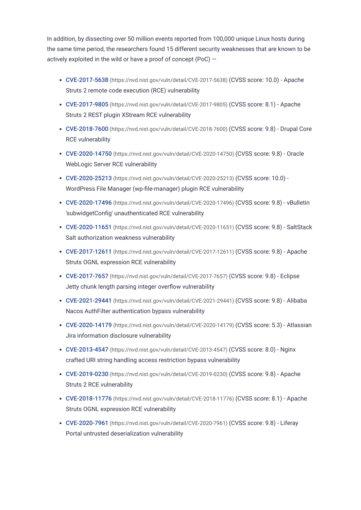In addition, by dissecting over 50 million events reported from 100,000 unique Linux hosts during the same time period, the researchers found 15 different security weaknesses that are known to be actively exploited in the wild or have a proof of concept (PoC) —

- CVE-2017-5638 [\(https://nvd.nist.gov/vuln/detail/CVE-2017-5638\)](https://nvd.nist.gov/vuln/detail/CVE-2017-5638) (CVSS score: 10.0) Apache Struts 2 remote code execution (RCE) vulnerability
- CVE-2017-9805 [\(https://nvd.nist.gov/vuln/detail/CVE-2017-9805\)](https://nvd.nist.gov/vuln/detail/CVE-2017-9805) (CVSS score: 8.1) Apache Struts 2 REST plugin XStream RCE vulnerability
- CVE-2018-7600 [\(https://nvd.nist.gov/vuln/detail/CVE-2018-7600\)](https://nvd.nist.gov/vuln/detail/CVE-2018-7600) (CVSS score: 9.8) Drupal Core RCE vulnerability
- CVE-2020-14750 [\(https://nvd.nist.gov/vuln/detail/CVE-2020-14750\)](https://nvd.nist.gov/vuln/detail/CVE-2020-14750) (CVSS score: 9.8) Oracle WebLogic Server RCE vulnerability
- CVE-2020-25213 [\(https://nvd.nist.gov/vuln/detail/CVE-2020-25213\)](https://nvd.nist.gov/vuln/detail/CVE-2020-25213) (CVSS score: 10.0) WordPress File Manager (wp-file-manager) plugin RCE vulnerability
- CVE-2020-17496 [\(https://nvd.nist.gov/vuln/detail/CVE-2020-17496\)](https://nvd.nist.gov/vuln/detail/CVE-2020-17496) (CVSS score: 9.8) vBulletin 'subwidgetConfig' unauthenticated RCE vulnerability
- CVE-2020-11651 [\(https://nvd.nist.gov/vuln/detail/CVE-2020-11651\)](https://nvd.nist.gov/vuln/detail/CVE-2020-11651) (CVSS score: 9.8) SaltStack Salt authorization weakness vulnerability
- CVE-2017-12611 [\(https://nvd.nist.gov/vuln/detail/CVE-2017-12611\)](https://nvd.nist.gov/vuln/detail/CVE-2017-12611) (CVSS score: 9.8) Apache Struts OGNL expression RCE vulnerability
- CVE-2017-7657 [\(https://nvd.nist.gov/vuln/detail/CVE-2017-7657\)](https://nvd.nist.gov/vuln/detail/CVE-2017-7657) (CVSS score: 9.8) Eclipse Jetty chunk length parsing integer overflow vulnerability
- CVE-2021-29441 [\(https://nvd.nist.gov/vuln/detail/CVE-2021-29441\)](https://nvd.nist.gov/vuln/detail/CVE-2021-29441) (CVSS score: 9.8) Alibaba Nacos AuthFilter authentication bypass vulnerability
- CVE-2020-14179 [\(https://nvd.nist.gov/vuln/detail/CVE-2020-14179\)](https://nvd.nist.gov/vuln/detail/CVE-2020-14179) (CVSS score: 5.3) Atlassian Jira information disclosure vulnerability
- CVE-2013-4547 [\(https://nvd.nist.gov/vuln/detail/CVE-2013-4547\)](https://nvd.nist.gov/vuln/detail/CVE-2013-4547) (CVSS score: 8.0) Nginx crafted URI string handling access restriction bypass vulnerability
- CVE-2019-0230 [\(https://nvd.nist.gov/vuln/detail/CVE-2019-0230\)](https://nvd.nist.gov/vuln/detail/CVE-2019-0230) (CVSS score: 9.8) Apache Struts 2 RCE vulnerability
- CVE-2018-11776 [\(https://nvd.nist.gov/vuln/detail/CVE-2018-11776\)](https://nvd.nist.gov/vuln/detail/CVE-2018-11776) (CVSS score: 8.1) Apache Struts OGNL expression RCE vulnerability
- CVE-2020-7961 [\(https://nvd.nist.gov/vuln/detail/CVE-2020-7961\)](https://nvd.nist.gov/vuln/detail/CVE-2020-7961) (CVSS score: 9.8) Liferay Portal untrusted deserialization vulnerability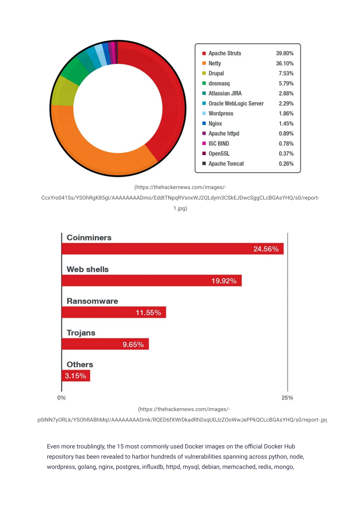

(https://thehackernews.com/images/-

[CcxYro041Ss/YSOhRgK85gI/AAAAAAAADmo/EddtTNpqRVsnxWJ2QLdym3CSkEJDwcSggCLcBGAsYHQ/s0/report-](https://thehackernews.com/images/-CcxYro041Ss/YSOhRgK85gI/AAAAAAAADmo/EddtTNpqRVsnxWJ2QLdym3CSkEJDwcSggCLcBGAsYHQ/s0/report-1.jpg)

1.jpg)



(https://thehackernews.com/images/-

[p0iNN7yORLk/YSOhRABhMqI/AAAAAAAADmk/RQED6fXWrDkadRhDxqU0JzZOoWwJePPkQCLcBGAsYHQ/s0/report-.jpg](https://thehackernews.com/images/-p0iNN7yORLk/YSOhRABhMqI/AAAAAAAADmk/RQED6fXWrDkadRhDxqU0JzZOoWwJePPkQCLcBGAsYHQ/s0/report-.jpg)

Even more troublingly, the 15 most commonly used Docker images on the official Docker Hub repository has been revealed to harbor hundreds of vulnerabilities spanning across python, node, wordpress, golang, nginx, postgres, influxdb, httpd, mysql, debian, memcached, redis, mongo,